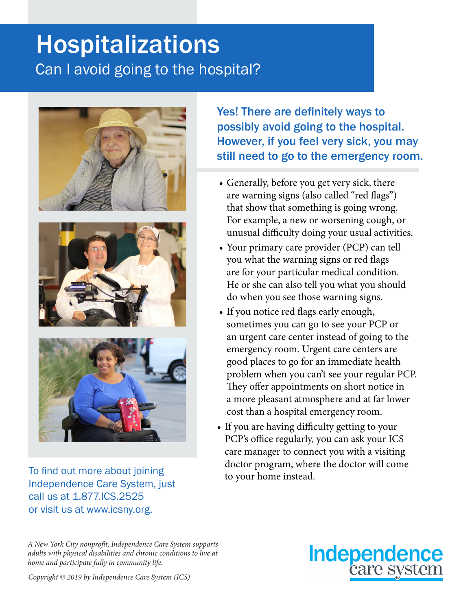# Hospitalizations Can I avoid going to the hospital?







To find out more about joining<br>to your home instead. Independence Care System, just call us at 1.877.ICS.2525 or visit us at www.icsny.org.

Yes! There are definitely ways to possibly avoid going to the hospital. However, if you feel very sick, you may still need to go to the emergency room.

- Generally, before you get very sick, there are warning signs (also called "red flags") that show that something is going wrong. For example, a new or worsening cough, or unusual difficulty doing your usual activities.
- Your primary care provider (PCP) can tell you what the warning signs or red flags are for your particular medical condition. He or she can also tell you what you should do when you see those warning signs.
- If you notice red flags early enough, sometimes you can go to see your PCP or an urgent care center instead of going to the emergency room. Urgent care centers are good places to go for an immediate health problem when you can't see your regular PCP. They offer appointments on short notice in a more pleasant atmosphere and at far lower cost than a hospital emergency room.
- If you are having difficulty getting to your PCP's office regularly, you can ask your ICS care manager to connect you with a visiting doctor program, where the doctor will come

*A New York City nonprofit, Independence Care System supports adults with physical disabilities and chronic conditions to live at home and participate fully in community life.*



*Copyright © 2019 by Independence Care System (ICS)*